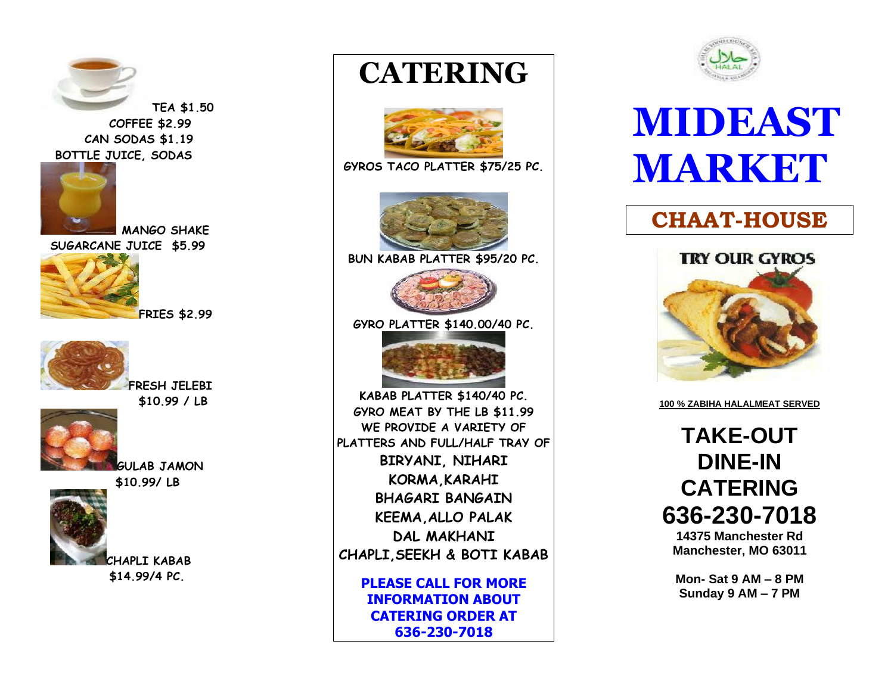

 **COFFEE \$2.99 CAN SODAS \$1.19 BOTTLE JUICE, SODAS**



**MANGO SHAKE SUGARCANE JUICE \$5.99** 



**FRIES \$2.99**



**FRESH JELEBI \$10.99 / LB** 



**GULAB JAMON \$10.99/ LB** 



 **CHAPLI KABAB \$14.99/4 PC.** 

## **CATERING**



**GYROS TACO PLATTER \$75/25 PC.**



**BUN KABAB PLATTER \$95/20 PC.**



**GYRO PLATTER \$140.00/40 PC.**



**KABAB PLATTER \$140/40 PC. GYRO MEAT BY THE LB \$11.99 WE PROVIDE A VARIETY OF PLATTERS AND FULL/HALF TRAY OF BIRYANI, NIHARI KORMA,KARAHI BHAGARI BANGAIN KEEMA,ALLO PALAK DAL MAKHANI CHAPLI,SEEKH & BOTI KABAB**

> **PLEASE CALL FOR MORE INFORMATION ABOUT CATERING ORDER AT 636-230-7018**



## **MIDEAST MARKET**

## **CHAAT-HOUSE**



**100 % ZABIHA HALALMEAT SERVED**

**TAKE-OUT DINE-IN CATERING 636-230-7018**

**14375 Manchester Rd Manchester, MO 63011**

**Mon- Sat 9 AM – 8 PM Sunday 9 AM – 7 PM**